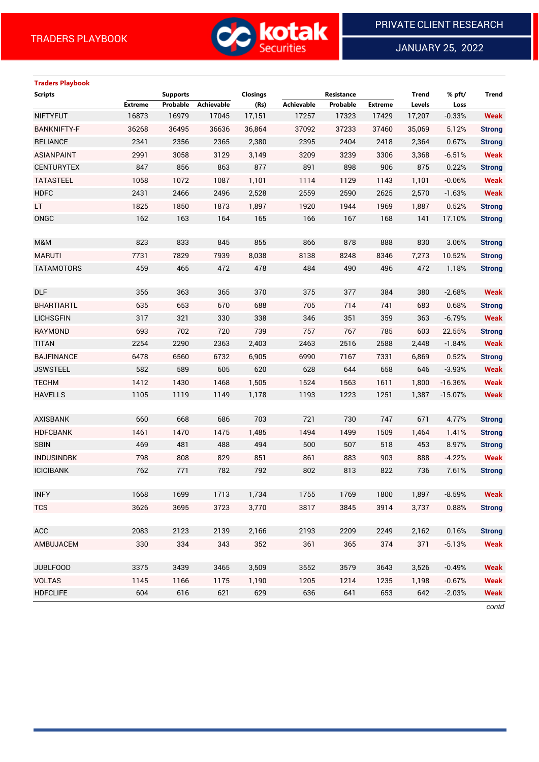

JANUARY 25, 2022

# **Traders Playbook**

| <b>Scripts</b>     |                | <b>Supports</b> |                   | Closings |            | Resistance |                | <b>Trend</b> | % pft/    | <b>Trend</b>  |
|--------------------|----------------|-----------------|-------------------|----------|------------|------------|----------------|--------------|-----------|---------------|
|                    | <b>Extreme</b> | Probable        | <b>Achievable</b> | (Rs)     | Achievable | Probable   | <b>Extreme</b> | Levels       | Loss      |               |
| <b>NIFTYFUT</b>    | 16873          | 16979           | 17045             | 17,151   | 17257      | 17323      | 17429          | 17,207       | $-0.33%$  | <b>Weak</b>   |
| <b>BANKNIFTY-F</b> | 36268          | 36495           | 36636             | 36,864   | 37092      | 37233      | 37460          | 35,069       | 5.12%     | <b>Strong</b> |
| <b>RELIANCE</b>    | 2341           | 2356            | 2365              | 2,380    | 2395       | 2404       | 2418           | 2,364        | 0.67%     | <b>Strong</b> |
| <b>ASIANPAINT</b>  | 2991           | 3058            | 3129              | 3,149    | 3209       | 3239       | 3306           | 3,368        | $-6.51%$  | <b>Weak</b>   |
| <b>CENTURYTEX</b>  | 847            | 856             | 863               | 877      | 891        | 898        | 906            | 875          | 0.22%     | <b>Strong</b> |
| <b>TATASTEEL</b>   | 1058           | 1072            | 1087              | 1,101    | 1114       | 1129       | 1143           | 1,101        | $-0.06%$  | <b>Weak</b>   |
| <b>HDFC</b>        | 2431           | 2466            | 2496              | 2,528    | 2559       | 2590       | 2625           | 2,570        | $-1.63%$  | <b>Weak</b>   |
| <b>LT</b>          | 1825           | 1850            | 1873              | 1,897    | 1920       | 1944       | 1969           | 1,887        | 0.52%     | <b>Strong</b> |
| ONGC               | 162            | 163             | 164               | 165      | 166        | 167        | 168            | 141          | 17.10%    | <b>Strong</b> |
|                    |                |                 |                   |          |            |            |                |              |           |               |
| M&M                | 823            | 833             | 845               | 855      | 866        | 878        | 888            | 830          | 3.06%     | <b>Strong</b> |
| <b>MARUTI</b>      | 7731           | 7829            | 7939              | 8,038    | 8138       | 8248       | 8346           | 7,273        | 10.52%    | <b>Strong</b> |
| <b>TATAMOTORS</b>  | 459            | 465             | 472               | 478      | 484        | 490        | 496            | 472          | 1.18%     | <b>Strong</b> |
|                    |                |                 |                   |          |            |            |                |              |           |               |
| <b>DLF</b>         | 356            | 363             | 365               | 370      | 375        | 377        | 384            | 380          | $-2.68%$  | <b>Weak</b>   |
| <b>BHARTIARTL</b>  | 635            | 653             | 670               | 688      | 705        | 714        | 741            | 683          | 0.68%     | <b>Strong</b> |
| <b>LICHSGFIN</b>   | 317            | 321             | 330               | 338      | 346        | 351        | 359            | 363          | $-6.79%$  | <b>Weak</b>   |
| RAYMOND            | 693            | 702             | 720               | 739      | 757        | 767        | 785            | 603          | 22.55%    | <b>Strong</b> |
| <b>TITAN</b>       | 2254           | 2290            | 2363              | 2,403    | 2463       | 2516       | 2588           | 2,448        | $-1.84%$  | <b>Weak</b>   |
| <b>BAJFINANCE</b>  | 6478           | 6560            | 6732              | 6,905    | 6990       | 7167       | 7331           | 6,869        | 0.52%     | <b>Strong</b> |
| <b>JSWSTEEL</b>    | 582            | 589             | 605               | 620      | 628        | 644        | 658            | 646          | $-3.93%$  | <b>Weak</b>   |
| <b>TECHM</b>       | 1412           | 1430            | 1468              | 1,505    | 1524       | 1563       | 1611           | 1,800        | $-16.36%$ | <b>Weak</b>   |
| <b>HAVELLS</b>     | 1105           | 1119            | 1149              | 1,178    | 1193       | 1223       | 1251           | 1,387        | $-15.07%$ | <b>Weak</b>   |
|                    |                |                 |                   |          |            |            |                |              |           |               |
| <b>AXISBANK</b>    | 660            | 668             | 686               | 703      | 721        | 730        | 747            | 671          | 4.77%     | <b>Strong</b> |
| <b>HDFCBANK</b>    | 1461           | 1470            | 1475              | 1,485    | 1494       | 1499       | 1509           | 1,464        | 1.41%     | <b>Strong</b> |
| <b>SBIN</b>        | 469            | 481             | 488               | 494      | 500        | 507        | 518            | 453          | 8.97%     | <b>Strong</b> |
| <b>INDUSINDBK</b>  | 798            | 808             | 829               | 851      | 861        | 883        | 903            | 888          | $-4.22%$  | <b>Weak</b>   |
| <b>ICICIBANK</b>   | 762            | 771             | 782               | 792      | 802        | 813        | 822            | 736          | 7.61%     | <b>Strong</b> |
|                    |                |                 |                   |          |            |            |                |              |           |               |
| <b>INFY</b>        | 1668           | 1699            | 1713              | 1,734    | 1755       | 1769       | 1800           | 1,897        | $-8.59%$  | <b>Weak</b>   |
| <b>TCS</b>         | 3626           | 3695            | 3723              | 3,770    | 3817       | 3845       | 3914           | 3,737        | 0.88%     | <b>Strong</b> |
|                    |                |                 |                   |          |            |            |                |              |           |               |
| ACC                | 2083           | 2123            | 2139              | 2,166    | 2193       | 2209       | 2249           | 2,162        | 0.16%     | <b>Strong</b> |
| AMBUJACEM          | 330            | 334             | 343               | 352      | 361        | 365        | 374            | 371          | $-5.13%$  | <b>Weak</b>   |
|                    |                |                 |                   |          |            |            |                |              |           |               |
| <b>JUBLFOOD</b>    | 3375           | 3439            | 3465              | 3,509    | 3552       | 3579       | 3643           | 3,526        | $-0.49%$  | <b>Weak</b>   |
| <b>VOLTAS</b>      | 1145           | 1166            | 1175              | 1,190    | 1205       | 1214       | 1235           | 1,198        | $-0.67%$  | <b>Weak</b>   |
| <b>HDFCLIFE</b>    | 604            | 616             | 621               | 629      | 636        | 641        | 653            | 642          | $-2.03%$  | <b>Weak</b>   |

*contd*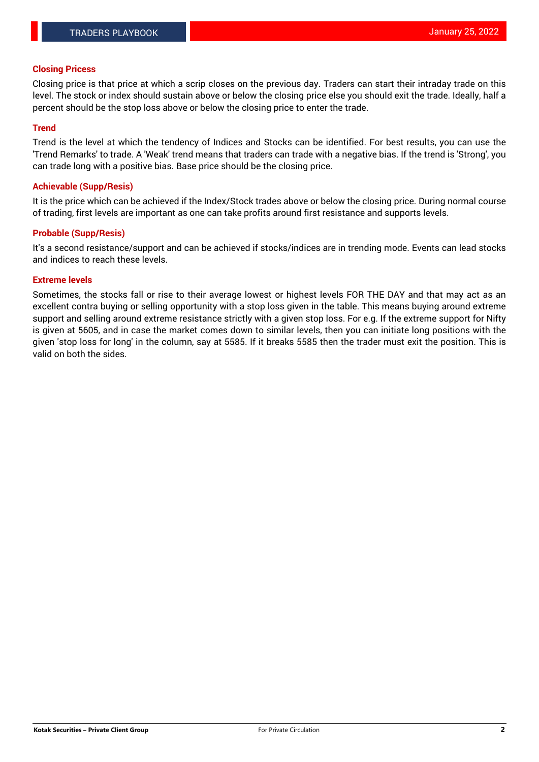### **Closing Pricess**

Closing price is that price at which a scrip closes on the previous day. Traders can start their intraday trade on this level. The stock or index should sustain above or below the closing price else you should exit the trade. Ideally, half a percent should be the stop loss above or below the closing price to enter the trade.

## **Trend**

Trend is the level at which the tendency of Indices and Stocks can be identified. For best results, you can use the 'Trend Remarks' to trade. A 'Weak' trend means that traders can trade with a negative bias. If the trend is 'Strong', you can trade long with a positive bias. Base price should be the closing price.

#### **Achievable (Supp/Resis)**

It is the price which can be achieved if the Index/Stock trades above or below the closing price. During normal course of trading, first levels are important as one can take profits around first resistance and supports levels.

## **Probable (Supp/Resis)**

It's a second resistance/support and can be achieved if stocks/indices are in trending mode. Events can lead stocks and indices to reach these levels.

#### **Extreme levels**

Sometimes, the stocks fall or rise to their average lowest or highest levels FOR THE DAY and that may act as an excellent contra buying or selling opportunity with a stop loss given in the table. This means buying around extreme support and selling around extreme resistance strictly with a given stop loss. For e.g. If the extreme support for Nifty is given at 5605, and in case the market comes down to similar levels, then you can initiate long positions with the given 'stop loss for long' in the column, say at 5585. If it breaks 5585 then the trader must exit the position. This is valid on both the sides.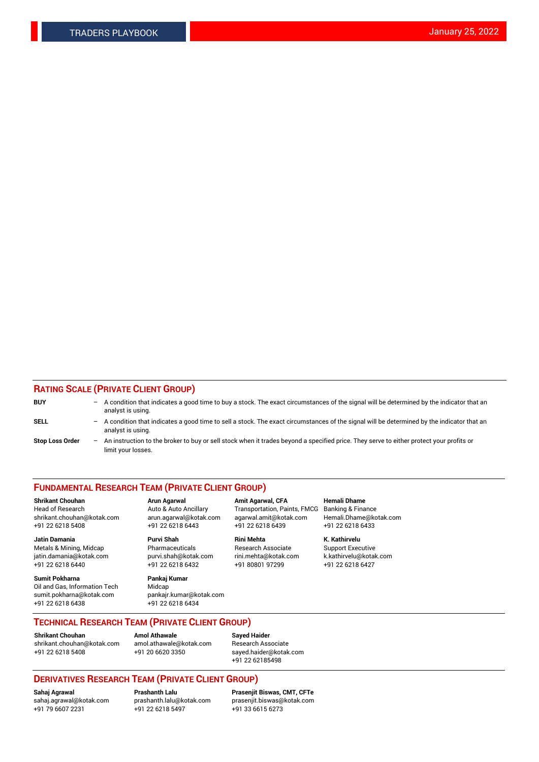# **RATING SCALE (PRIVATE CLIENT GROUP)**

| <b>BUY</b>             | $-$ A condition that indicates a good time to buy a stock. The exact circumstances of the signal will be determined by the indicator that an<br>analyst is using.  |
|------------------------|--------------------------------------------------------------------------------------------------------------------------------------------------------------------|
| <b>SELL</b>            | $-$ A condition that indicates a good time to sell a stock. The exact circumstances of the signal will be determined by the indicator that an<br>analyst is using. |
| <b>Stop Loss Order</b> | - An instruction to the broker to buy or sell stock when it trades beyond a specified price. They serve to either protect your profits or<br>limit your losses.    |

#### **FUNDAMENTAL RESEARCH TEAM (PRIVATE CLIENT GROUP)**

Head of Research **Auto & Auto Ancillary** Transportation, Paints, FMCG Banking & Finance shrikant.chouhan@kotak.com arun.agarwal@kotak.com agarwal.amit@kotak.com Hemali.Dhame@kotak.com +91 22 6218 5408 +91 22 6218 6443 +91 22 6218 6439 +91 22 6218 6433

**Jatin Damania Purvi Shah Rini Mehta K. Kathirvelu** Metals & Mining, Midcap **Pharmaceuticals** Research Associate Support Executive jatin.damania@kotak.com [purvi.shah@kotak.com](mailto:purvi.shah@kotak.com) rini.mehta@kotak.com [k.kathirvelu@kotak.com](mailto:k.kathirvelu@kotak.com) +91 22 6218 6440 +91 22 6218 6432 +91 80801 97299 +91 22 6218 6427

**Sumit Pokharna Pankaj Kumar** Oil and Gas, Information Tech Midcap<br>sumit.pokharna@kotak.com bankair. +91 22 6218 6438 +91 22 6218 6434

sumit.pokharna@kotak.com pankajr.kumar@kotak.com

**Shrikant Chouhan Arun Agarwal Amit Agarwal, CFA Hemali Dhame**

**TECHNICAL RESEARCH TEAM (PRIVATE CLIENT GROUP) Shrikant Chouhan Amol Athawale**<br> **Amol Athawale** @kotak.com **Busisms** Research Ass

[shrikant.chouhan@kotak.com](mailto:shrikant.chouhan@kotak.com) [amol.athawale@kotak.com](mailto:amol.athawale@kotak.com) Research Associate +91 22 6218 5408 +91 20 6620 3350 [sayed.haider@kotak.com](mailto:sayed.haider@kotak.com)

+91 22 62185498

# **DERIVATIVES RESEARCH TEAM (PRIVATE CLIENT GROUP)**

 $+91$  22 6218 5497

**Sahaj Agrawal Prashanth Lalu Prasenjit Biswas, CMT, CFTe** [sahaj.agrawal@kotak.com](mailto:sahaj.agrawal@kotak.com) [prashanth.lalu@kotak.com](mailto:prashanth.lalu@kotak.com) [prasenjit.biswas@kotak.com](mailto:prasenjit.biswas@kotak.com)